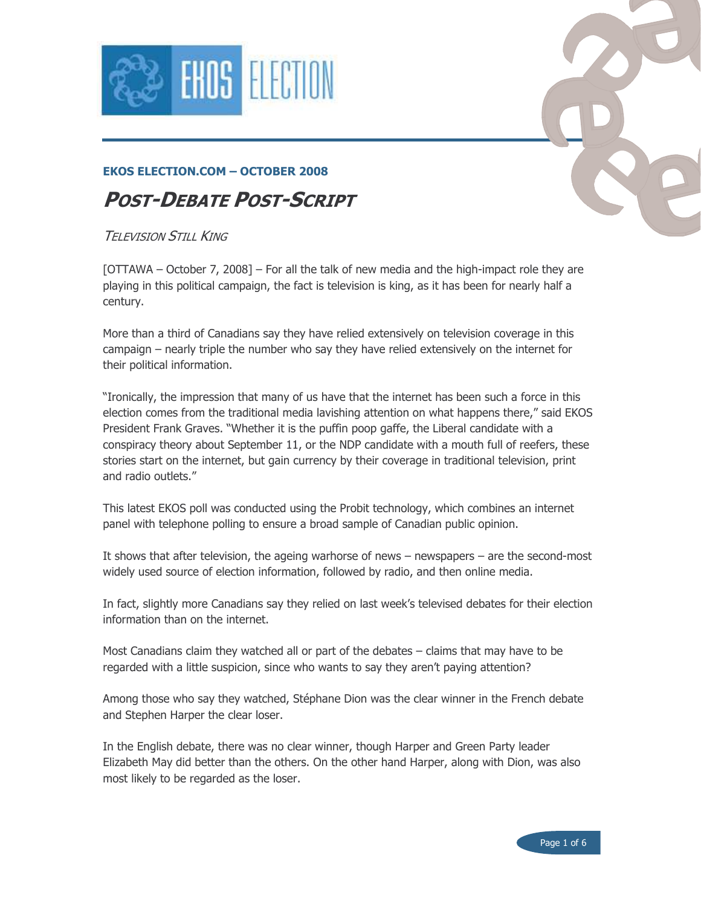



# **POST-DEBATE POST-SCRIPT**

#### **TFI FVISION STILL KING**

[OTTAWA – October 7, 2008] – For all the talk of new media and the high-impact role they are playing in this political campaign, the fact is television is king, as it has been for nearly half a century.

More than a third of Canadians say they have relied extensively on television coverage in this campaign – nearly triple the number who say they have relied extensively on the internet for their political information.

"Ironically, the impression that many of us have that the internet has been such a force in this election comes from the traditional media lavishing attention on what happens there," said EKOS President Frank Graves. "Whether it is the puffin poop gaffe, the Liberal candidate with a conspiracy theory about September 11, or the NDP candidate with a mouth full of reefers, these stories start on the internet, but gain currency by their coverage in traditional television, print and radio outlets."

This latest EKOS poll was conducted using the Probit technology, which combines an internet panel with telephone polling to ensure a broad sample of Canadian public opinion.

It shows that after television, the ageing warhorse of news  $-$  newspapers  $-$  are the second-most widely used source of election information, followed by radio, and then online media.

In fact, slightly more Canadians say they relied on last week's televised debates for their election information than on the internet.

Most Canadians claim they watched all or part of the debates - claims that may have to be regarded with a little suspicion, since who wants to say they aren't paying attention?

Among those who say they watched, Stéphane Dion was the clear winner in the French debate and Stephen Harper the clear loser.

In the English debate, there was no clear winner, though Harper and Green Party leader Elizabeth May did better than the others. On the other hand Harper, along with Dion, was also most likely to be regarded as the loser.

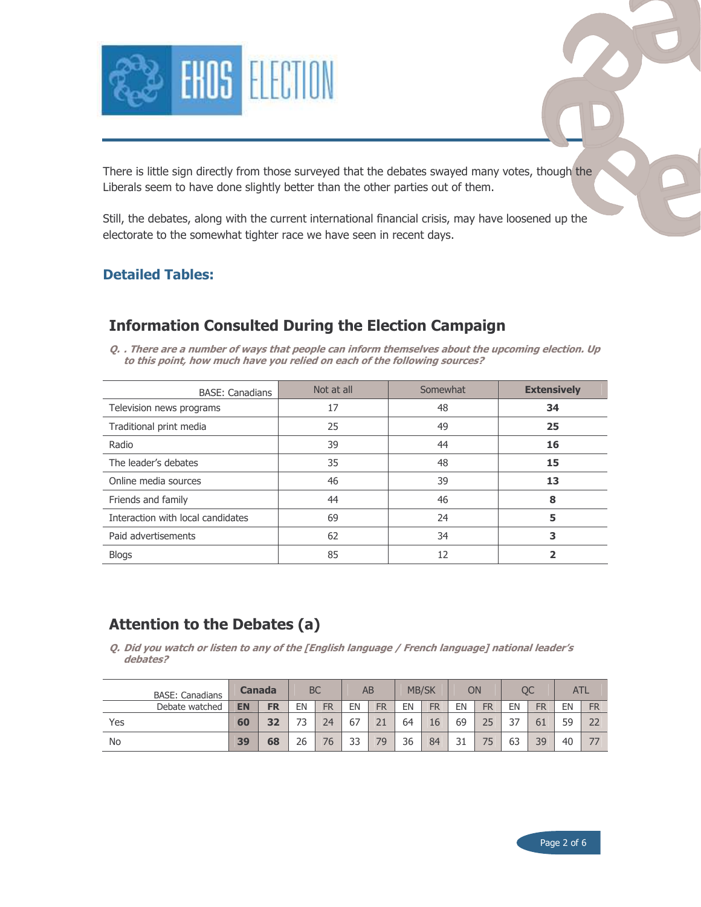

There is little sign directly from those surveyed that the debates swayed many votes, though the Liberals seem to have done slightly better than the other parties out of them.

Still, the debates, along with the current international financial crisis, may have loosened up the electorate to the somewhat tighter race we have seen in recent days.

#### **Detailed Tables:**

### **Information Consulted During the Election Campaign**

O. . There are a number of ways that people can inform themselves about the upcoming election. Up to this point, how much have you relied on each of the following sources?

| <b>BASE: Canadians</b>            | Not at all | Somewhat | <b>Extensively</b> |
|-----------------------------------|------------|----------|--------------------|
| Television news programs          | 17         | 48       | 34                 |
| Traditional print media           | 25         | 49       | 25                 |
| Radio                             | 39         | 44       | 16                 |
| The leader's debates              | 35         | 48       | 15                 |
| Online media sources              | 46         | 39       | 13                 |
| Friends and family                | 44         | 46       | 8                  |
| Interaction with local candidates | 69         | 24       | 5                  |
| Paid advertisements               | 62         | 34       | 3                  |
| <b>Blogs</b>                      | 85         | 12       |                    |

#### **Attention to the Debates (a)**

Q. Did you watch or listen to any of the [English language / French language] national leader's debates?

| <b>BASE: Canadians</b> | <b>Canada</b> |           |    | <b>BC</b> |    | AB        | <b>MB/SK</b> |           |          | ОN        |     | ОC             | ATL |           |
|------------------------|---------------|-----------|----|-----------|----|-----------|--------------|-----------|----------|-----------|-----|----------------|-----|-----------|
| Debate watched         | <b>EN</b>     | <b>FR</b> | ΕN | <b>FR</b> | ΕN | <b>FR</b> | EN           | <b>FR</b> | EN       | <b>FR</b> | EN  | FR             | EN  | <b>FR</b> |
| Yes                    | 60            | 27        | 72 | 24        | 67 |           | 64           | 16        | 69       | 25        | ر ر | 6 <sub>1</sub> | 59  | 22        |
| <b>No</b>              | 39            | 68        | 26 | 76        | 33 | 79        | 36           | 84        | 21<br>⊥ت |           | 63  | 39             | 40  |           |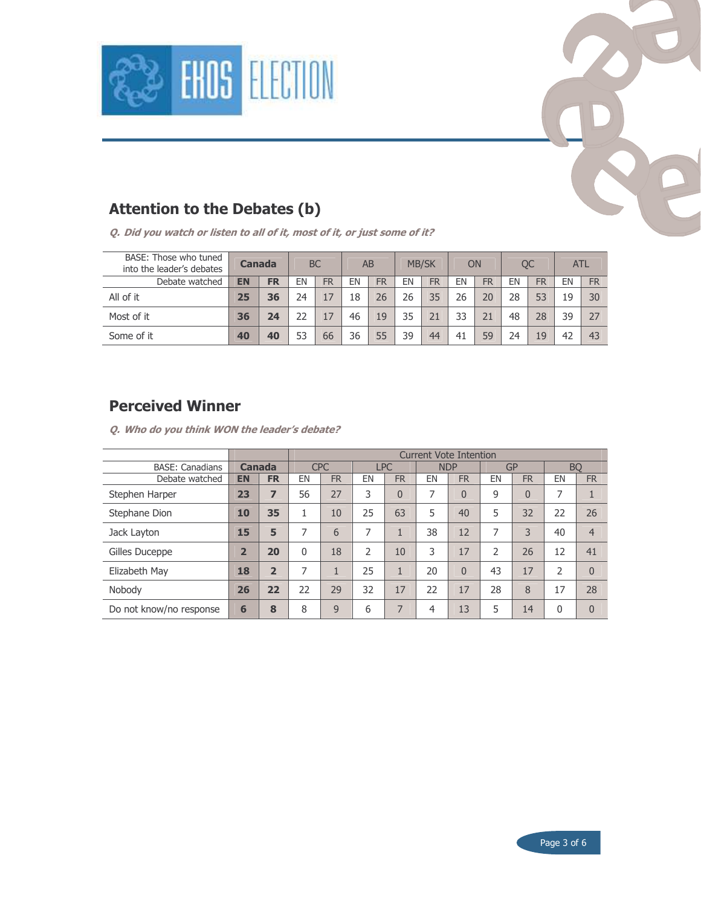



## **Attention to the Debates (b)**

Q. Did you watch or listen to all of it, most of it, or just some of it?

| BASE: Those who tuned<br>into the leader's debates | Canada    |           | <b>BC</b> |           | AB |           | <b>MB/SK</b> |           | ON  |           | ОC |    | <b>ATL</b> |           |
|----------------------------------------------------|-----------|-----------|-----------|-----------|----|-----------|--------------|-----------|-----|-----------|----|----|------------|-----------|
| Debate watched                                     | <b>EN</b> | <b>FR</b> | EN        | <b>FR</b> | EN | <b>FR</b> | EN           | <b>FR</b> | EN  | <b>FR</b> | ΕN | FR | EN         | <b>FR</b> |
| All of it                                          | 25        | 36        | 24        |           | 18 | 26        | 26           | 35        | 26  |           | 28 | 53 | 19         | 30        |
| Most of it                                         | 36        | 24        | フフ        | 17        | 46 | 19        | 35           |           | 33  |           | 48 | 28 | 39         | 27        |
| Some of it                                         | 40        | 40        | 53        | 66        | 36 | 55        | 39           | 44        | -41 | 59        | 24 | 19 | 42         | 43        |

### **Perceived Winner**

Q. Who do you think WON the leader's debate?

|                         |                |                | <b>Current Vote Intention</b> |           |               |           |            |           |               |           |                |                     |
|-------------------------|----------------|----------------|-------------------------------|-----------|---------------|-----------|------------|-----------|---------------|-----------|----------------|---------------------|
| <b>BASE: Canadians</b>  | Canada         |                | <b>CPC</b>                    |           | <b>LPC</b>    |           | <b>NDP</b> |           | GP            |           | <b>BO</b>      |                     |
| Debate watched          | <b>EN</b>      | <b>FR</b>      | EN                            | <b>FR</b> | EN            | <b>FR</b> | EN         | <b>FR</b> | EN            | <b>FR</b> | EN             | <b>FR</b>           |
| Stephen Harper          | 23             | 7              | 56                            | 27        | 3             | $\Omega$  | 7          | $\Omega$  | 9             | $\Omega$  | 7              | $\overline{1}$<br>- |
| Stephane Dion           | 10             | 35             | 1                             | 10        | 25            | 63        | 5          | 40        | 5             | 32        | 22             | 26                  |
| Jack Layton             | 15             | 5              | 7                             | 6         | 7             |           | 38         | 12        | 7             | 3         | 40             | $\overline{4}$      |
| Gilles Duceppe          | $\overline{2}$ | 20             | 0                             | 18        | $\mathcal{P}$ | 10        | 3          | 17        | $\mathcal{P}$ | 26        | 12             | 41                  |
| Elizabeth May           | 18             | $\overline{2}$ | 7                             | 1         | 25            |           | 20         | $\Omega$  | 43            | 17        | $\overline{2}$ | $\overline{0}$      |
| Nobody                  | 26             | 22             | 22                            | 29        | 32            | 17        | 22         | 17        | 28            | 8         | 17             | 28                  |
| Do not know/no response | 6              | 8              | 8                             | 9         | 6             | 7         | 4          | 13        | 5             | 14        | $\mathbf{0}$   | $\overline{0}$      |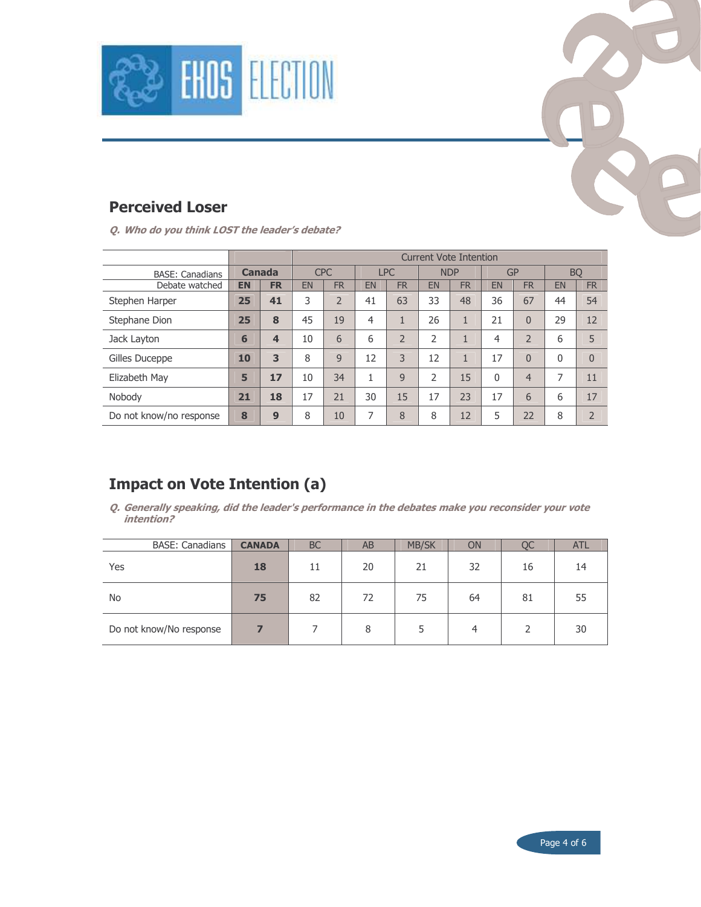



# **Perceived Loser**

Q. Who do you think LOST the leader's debate?

|                         |               |                         | <b>Current Vote Intention</b> |                |            |                |            |           |                |                |              |                |
|-------------------------|---------------|-------------------------|-------------------------------|----------------|------------|----------------|------------|-----------|----------------|----------------|--------------|----------------|
| <b>BASE: Canadians</b>  | <b>Canada</b> |                         | <b>CPC</b>                    |                | <b>LPC</b> |                | <b>NDP</b> |           | GP             |                | <b>BQ</b>    |                |
| Debate watched          | <b>EN</b>     | <b>FR</b>               | <b>EN</b>                     | <b>FR</b>      | <b>EN</b>  | <b>FR</b>      | <b>EN</b>  | <b>FR</b> | EN             | <b>FR</b>      | EN           | <b>FR</b>      |
| Stephen Harper          | 25            | 41                      | 3                             | $\overline{2}$ | 41         | 63             | 33         | 48        | 36             | 67             | 44           | 54             |
| Stephane Dion           | 25            | 8                       | 45                            | 19             | 4          | $\mathbf{1}$   | 26         |           | 21             | $\overline{0}$ | 29           | 12             |
| Jack Layton             | 6             | $\overline{\mathbf{4}}$ | 10                            | 6              | 6          | $\overline{2}$ | 2          |           | $\overline{4}$ | $\overline{2}$ | 6            | 5              |
| Gilles Duceppe          | 10            | 3                       | 8                             | 9              | 12         | 3              | 12         | 1         | 17             | $\overline{0}$ | $\mathbf{0}$ | $\theta$       |
| Elizabeth May           | 5             | 17                      | 10                            | 34             | 1          | 9              | C.         | 15        | $\mathbf{0}$   | $\overline{4}$ | 7            | 11             |
| Nobody                  | 21            | 18                      | 17                            | 21             | 30         | 15             | 17         | 23        | 17             | 6              | 6            | 17             |
| Do not know/no response | 8             | 9                       | 8                             | 10             | 7          | 8              | 8          | 12        | 5              | 22             | 8            | $\overline{2}$ |

# **Impact on Vote Intention (a)**

Q. Generally speaking, did the leader's performance in the debates make you reconsider your vote intention?

| <b>BASE: Canadians</b>  | <b>CANADA</b> | <b>BC</b> | AB | <b>MB/SK</b> | <b>ON</b>      | <b>OC</b> | <b>ATL</b> |
|-------------------------|---------------|-----------|----|--------------|----------------|-----------|------------|
| Yes                     | 18            | 11        | 20 | 21           | 32             | 16        | 14         |
| <b>No</b>               | 75            | 82        | 72 | 75           | 64             | 81        | 55         |
| Do not know/No response |               |           | 8  |              | $\overline{a}$ |           | 30         |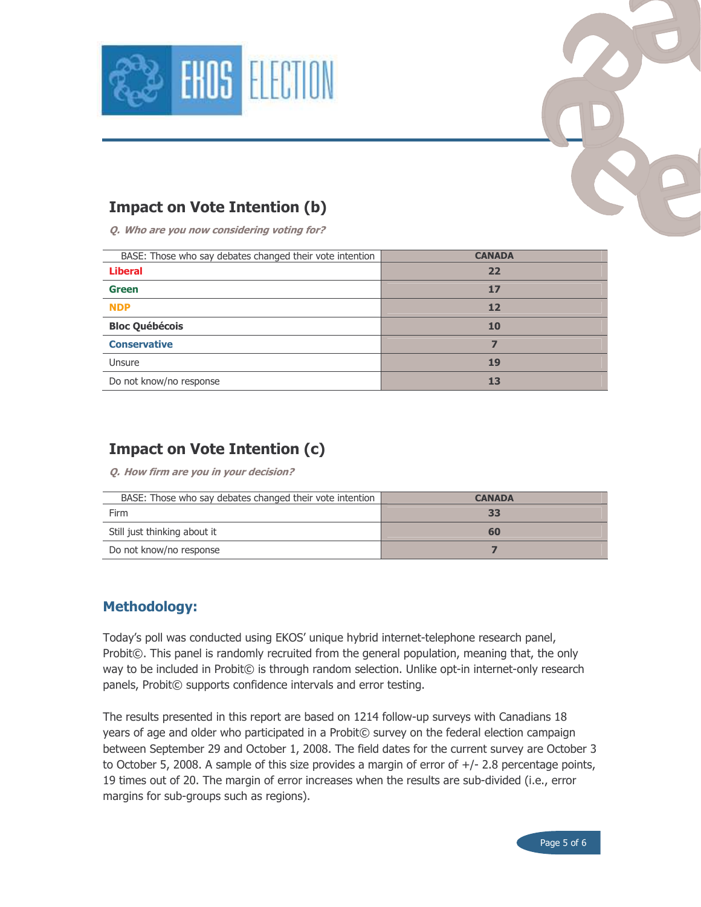



Q. Who are you now considering voting for?

| BASE: Those who say debates changed their vote intention | <b>CANADA</b> |
|----------------------------------------------------------|---------------|
| <b>Liberal</b>                                           | 22            |
| <b>Green</b>                                             | 17            |
| <b>NDP</b>                                               | 12            |
| <b>Bloc Québécois</b>                                    | <b>10</b>     |
| <b>Conservative</b>                                      |               |
| Unsure                                                   | 19            |
| Do not know/no response                                  | 13            |
|                                                          |               |

### **Impact on Vote Intention (c)**

Q. How firm are you in your decision?

| BASE: Those who say debates changed their vote intention | <b>CANADA</b> |
|----------------------------------------------------------|---------------|
| Firm                                                     | 33            |
| Still just thinking about it                             | 60            |
| Do not know/no response                                  |               |

#### **Methodology:**

Today's poll was conducted using EKOS' unique hybrid internet-telephone research panel, Probit©. This panel is randomly recruited from the general population, meaning that, the only way to be included in Probit© is through random selection. Unlike opt-in internet-only research panels, Probit© supports confidence intervals and error testing.

The results presented in this report are based on 1214 follow-up surveys with Canadians 18 years of age and older who participated in a Probit© survey on the federal election campaign between September 29 and October 1, 2008. The field dates for the current survey are October 3 to October 5, 2008. A sample of this size provides a margin of error of  $+/-$  2.8 percentage points, 19 times out of 20. The margin of error increases when the results are sub-divided (i.e., error margins for sub-groups such as regions).